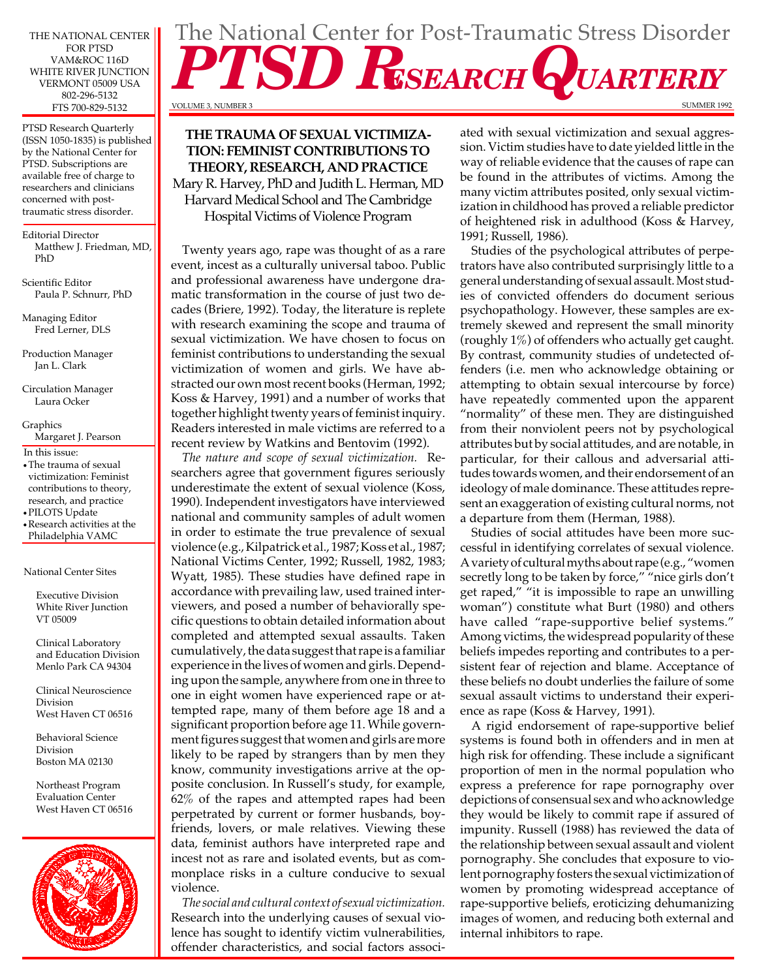THE NATIONAL CENTER FOR PTSD VAM&ROC 116D WHITE RIVER JUNCTION VERMONT 05009 USA 802-296-5132 FTS 700-829-5132

PTSD Research Quarterly (ISSN 1050-1835) is published by the National Center for PTSD. Subscriptions are available free of charge to researchers and clinicians concerned with posttraumatic stress disorder.

Editorial Director Matthew J. Friedman, MD, PhD

Scientific Editor Paula P. Schnurr, PhD

Managing Editor Fred Lerner, DLS

Production Manager Jan L. Clark

Circulation Manager Laura Ocker

Graphics Margaret J. Pearson

In this issue:

- **•**The trauma of sexual victimization: Feminist contributions to theory, research, and practice
- **•**PILOTS Update

**•**Research activities at the Philadelphia VAMC

National Center Sites

Executive Division White River Junction VT 05009

Clinical Laboratory and Education Division Menlo Park CA 94304

Clinical Neuroscience Division West Haven CT 06516

Behavioral Science Division Boston MA 02130

Northeast Program Evaluation Center West Haven CT 06516



# **THE TRAUMA OF SEXUAL VICTIMIZA-TION: FEMINIST CONTRIBUTIONS TO THEORY, RESEARCH, AND PRACTICE**  Mary R. Harvey, PhD and Judith L. Herman, MD Harvard Medical School and The Cambridge

Hospital Victims of Violence Program

Twenty years ago, rape was thought of as a rare event, incest as a culturally universal taboo. Public and professional awareness have undergone dramatic transformation in the course of just two decades (Briere, 1992). Today, the literature is replete with research examining the scope and trauma of sexual victimization. We have chosen to focus on feminist contributions to understanding the sexual victimization of women and girls. We have abstracted our own most recent books (Herman, 1992; Koss & Harvey, 1991) and a number of works that together highlight twenty years of feminist inquiry. Readers interested in male victims are referred to a recent review by Watkins and Bentovim (1992).

*The nature and scope of sexual victimization.* Researchers agree that government figures seriously underestimate the extent of sexual violence (Koss, 1990). Independent investigators have interviewed national and community samples of adult women in order to estimate the true prevalence of sexual violence (e.g., Kilpatrick et al., 1987; Koss et al., 1987; National Victims Center, 1992; Russell, 1982, 1983; Wyatt, 1985). These studies have defined rape in accordance with prevailing law, used trained interviewers, and posed a number of behaviorally specific questions to obtain detailed information about completed and attempted sexual assaults. Taken cumulatively, the data suggest that rape is a familiar experience in the lives of women and girls. Depending upon the sample, anywhere from one in three to one in eight women have experienced rape or attempted rape, many of them before age 18 and a significant proportion before age 11. While government figures suggest that women and girls are more likely to be raped by strangers than by men they know, community investigations arrive at the opposite conclusion. In Russell's study, for example, 62% of the rapes and attempted rapes had been perpetrated by current or former husbands, boyfriends, lovers, or male relatives. Viewing these data, feminist authors have interpreted rape and incest not as rare and isolated events, but as commonplace risks in a culture conducive to sexual violence.

*The social and cultural context of sexual victimization.*  Research into the underlying causes of sexual violence has sought to identify victim vulnerabilities, offender characteristics, and social factors associ-

# The National Center for Post-Traumatic Stress Disorder **SD RESEARCH QUARTERLY** SUMMER 1992

VOLUME 3, NUMBER 3

ated with sexual victimization and sexual aggression. Victim studies have to date yielded little in the way of reliable evidence that the causes of rape can be found in the attributes of victims. Among the many victim attributes posited, only sexual victimization in childhood has proved a reliable predictor of heightened risk in adulthood (Koss & Harvey, 1991; Russell, 1986).

Studies of the psychological attributes of perpetrators have also contributed surprisingly little to a general understanding of sexual assault. Most studies of convicted offenders do document serious psychopathology. However, these samples are extremely skewed and represent the small minority (roughly 1%) of offenders who actually get caught. By contrast, community studies of undetected offenders (i.e. men who acknowledge obtaining or attempting to obtain sexual intercourse by force) have repeatedly commented upon the apparent "normality" of these men. They are distinguished from their nonviolent peers not by psychological attributes but by social attitudes, and are notable, in particular, for their callous and adversarial attitudes towards women, and their endorsement of an ideology of male dominance. These attitudes represent an exaggeration of existing cultural norms, not a departure from them (Herman, 1988).

Studies of social attitudes have been more successful in identifying correlates of sexual violence. A variety of cultural myths about rape (e.g., "women secretly long to be taken by force," "nice girls don't get raped," "it is impossible to rape an unwilling woman") constitute what Burt (1980) and others have called "rape-supportive belief systems." Among victims, the widespread popularity of these beliefs impedes reporting and contributes to a persistent fear of rejection and blame. Acceptance of these beliefs no doubt underlies the failure of some sexual assault victims to understand their experience as rape (Koss & Harvey, 1991).

A rigid endorsement of rape-supportive belief systems is found both in offenders and in men at high risk for offending. These include a significant proportion of men in the normal population who express a preference for rape pornography over depictions of consensual sex and who acknowledge they would be likely to commit rape if assured of impunity. Russell (1988) has reviewed the data of the relationship between sexual assault and violent pornography. She concludes that exposure to violent pornography fosters the sexual victimization of women by promoting widespread acceptance of rape-supportive beliefs, eroticizing dehumanizing images of women, and reducing both external and internal inhibitors to rape.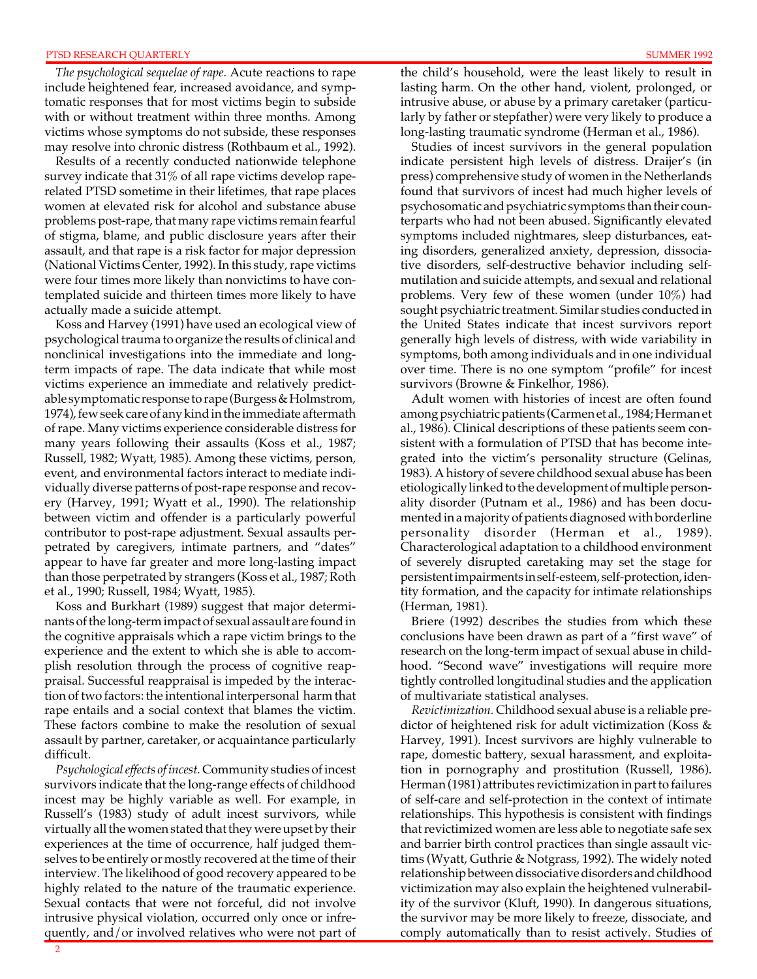#### PTSD RESEARCH QUARTERLY

*The psychological sequelae of rape.* Acute reactions to rape include heightened fear, increased avoidance, and symptomatic responses that for most victims begin to subside with or without treatment within three months. Among victims whose symptoms do not subside, these responses may resolve into chronic distress (Rothbaum et al., 1992).

Results of a recently conducted nationwide telephone survey indicate that 31% of all rape victims develop raperelated PTSD sometime in their lifetimes, that rape places women at elevated risk for alcohol and substance abuse problems post-rape, that many rape victims remain fearful of stigma, blame, and public disclosure years after their assault, and that rape is a risk factor for major depression (National Victims Center, 1992). In this study, rape victims were four times more likely than nonvictims to have contemplated suicide and thirteen times more likely to have actually made a suicide attempt.

Koss and Harvey (1991) have used an ecological view of psychological trauma to organize the results of clinical and nonclinical investigations into the immediate and longterm impacts of rape. The data indicate that while most victims experience an immediate and relatively predictable symptomatic response to rape (Burgess & Holmstrom, 1974), few seek care of any kind in the immediate aftermath of rape. Many victims experience considerable distress for many years following their assaults (Koss et al., 1987; Russell, 1982; Wyatt, 1985). Among these victims, person, event, and environmental factors interact to mediate individually diverse patterns of post-rape response and recovery (Harvey, 1991; Wyatt et al., 1990). The relationship between victim and offender is a particularly powerful contributor to post-rape adjustment. Sexual assaults perpetrated by caregivers, intimate partners, and "dates" appear to have far greater and more long-lasting impact than those perpetrated by strangers (Koss et al., 1987; Roth et al., 1990; Russell, 1984; Wyatt, 1985).

Koss and Burkhart (1989) suggest that major determinants of the long-term impact of sexual assault are found in the cognitive appraisals which a rape victim brings to the experience and the extent to which she is able to accomplish resolution through the process of cognitive reappraisal. Successful reappraisal is impeded by the interaction of two factors: the intentional interpersonal harm that rape entails and a social context that blames the victim. These factors combine to make the resolution of sexual assault by partner, caretaker, or acquaintance particularly difficult.

*Psychological effects of incest.* Community studies of incest survivors indicate that the long-range effects of childhood incest may be highly variable as well. For example, in Russell's (1983) study of adult incest survivors, while virtually all the women stated that they were upset by their experiences at the time of occurrence, half judged themselves to be entirely or mostly recovered at the time of their interview. The likelihood of good recovery appeared to be highly related to the nature of the traumatic experience. Sexual contacts that were not forceful, did not involve intrusive physical violation, occurred only once or infrequently, and/or involved relatives who were not part of the child's household, were the least likely to result in lasting harm. On the other hand, violent, prolonged, or intrusive abuse, or abuse by a primary caretaker (particularly by father or stepfather) were very likely to produce a long-lasting traumatic syndrome (Herman et al., 1986).

Studies of incest survivors in the general population indicate persistent high levels of distress. Draijer's (in press) comprehensive study of women in the Netherlands found that survivors of incest had much higher levels of psychosomatic and psychiatric symptoms than their counterparts who had not been abused. Significantly elevated symptoms included nightmares, sleep disturbances, eating disorders, generalized anxiety, depression, dissociative disorders, self-destructive behavior including selfmutilation and suicide attempts, and sexual and relational problems. Very few of these women (under 10%) had sought psychiatric treatment. Similar studies conducted in the United States indicate that incest survivors report generally high levels of distress, with wide variability in symptoms, both among individuals and in one individual over time. There is no one symptom "profile" for incest survivors (Browne & Finkelhor, 1986).

Adult women with histories of incest are often found among psychiatric patients (Carmen et al., 1984; Herman et al., 1986). Clinical descriptions of these patients seem consistent with a formulation of PTSD that has become integrated into the victim's personality structure (Gelinas, 1983). A history of severe childhood sexual abuse has been etiologically linked to the development of multiple personality disorder (Putnam et al., 1986) and has been documented in a majority of patients diagnosed with borderline personality disorder (Herman et al., 1989). Characterological adaptation to a childhood environment of severely disrupted caretaking may set the stage for persistent impairments in self-esteem, self-protection, identity formation, and the capacity for intimate relationships (Herman, 1981).

Briere (1992) describes the studies from which these conclusions have been drawn as part of a "first wave" of research on the long-term impact of sexual abuse in childhood. "Second wave" investigations will require more tightly controlled longitudinal studies and the application of multivariate statistical analyses.

*Revictimization.* Childhood sexual abuse is a reliable predictor of heightened risk for adult victimization (Koss & Harvey, 1991). Incest survivors are highly vulnerable to rape, domestic battery, sexual harassment, and exploitation in pornography and prostitution (Russell, 1986). Herman (1981) attributes revictimization in part to failures of self-care and self-protection in the context of intimate relationships. This hypothesis is consistent with findings that revictimized women are less able to negotiate safe sex and barrier birth control practices than single assault victims (Wyatt, Guthrie & Notgrass, 1992). The widely noted relationship between dissociative disorders and childhood victimization may also explain the heightened vulnerability of the survivor (Kluft, 1990). In dangerous situations, the survivor may be more likely to freeze, dissociate, and comply automatically than to resist actively. Studies of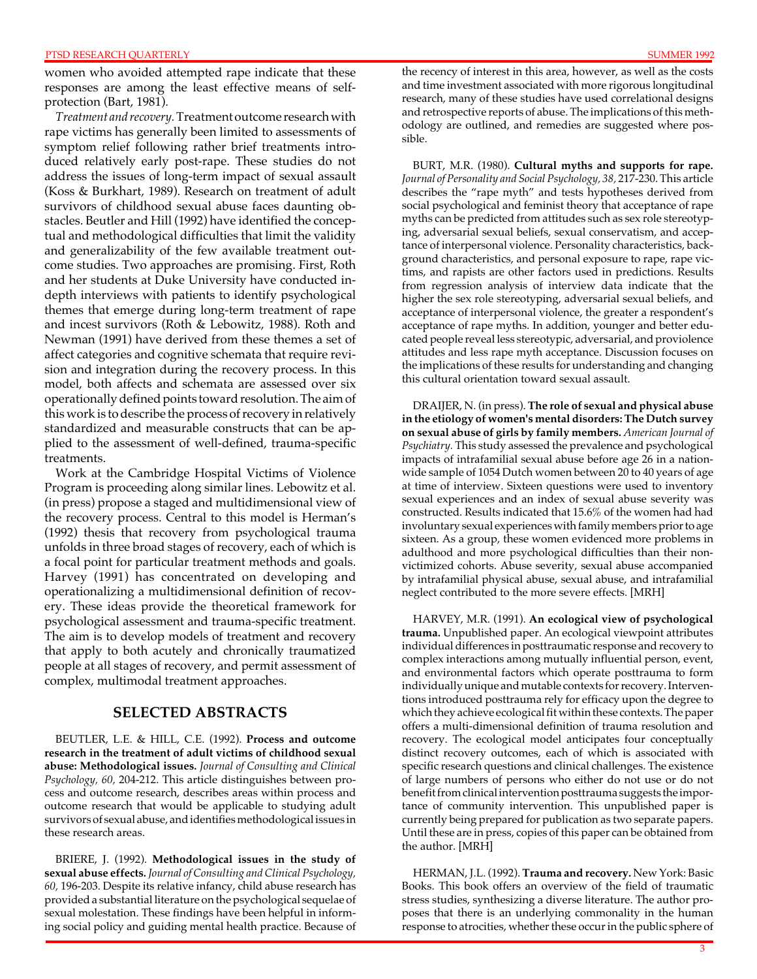women who avoided attempted rape indicate that these responses are among the least effective means of selfprotection (Bart, 1981).

*Treatment and recovery.* Treatment outcome research with rape victims has generally been limited to assessments of symptom relief following rather brief treatments introduced relatively early post-rape. These studies do not address the issues of long-term impact of sexual assault (Koss & Burkhart, 1989). Research on treatment of adult survivors of childhood sexual abuse faces daunting obstacles. Beutler and Hill (1992) have identified the conceptual and methodological difficulties that limit the validity and generalizability of the few available treatment outcome studies. Two approaches are promising. First, Roth and her students at Duke University have conducted indepth interviews with patients to identify psychological themes that emerge during long-term treatment of rape and incest survivors (Roth & Lebowitz, 1988). Roth and Newman (1991) have derived from these themes a set of affect categories and cognitive schemata that require revision and integration during the recovery process. In this model, both affects and schemata are assessed over six operationally defined points toward resolution. The aim of this work is to describe the process of recovery in relatively standardized and measurable constructs that can be applied to the assessment of well-defined, trauma-specific treatments.

Work at the Cambridge Hospital Victims of Violence Program is proceeding along similar lines. Lebowitz et al. (in press) propose a staged and multidimensional view of the recovery process. Central to this model is Herman's (1992) thesis that recovery from psychological trauma unfolds in three broad stages of recovery, each of which is a focal point for particular treatment methods and goals. Harvey (1991) has concentrated on developing and operationalizing a multidimensional definition of recovery. These ideas provide the theoretical framework for psychological assessment and trauma-specific treatment. The aim is to develop models of treatment and recovery that apply to both acutely and chronically traumatized people at all stages of recovery, and permit assessment of complex, multimodal treatment approaches.

# **SELECTED ABSTRACTS**

BEUTLER, L.E. & HILL, C.E. (1992). **Process and outcome research in the treatment of adult victims of childhood sexual abuse: Methodological issues.** *Journal of Consulting and Clinical Psychology, 60,* 204-212. This article distinguishes between process and outcome research, describes areas within process and outcome research that would be applicable to studying adult survivors of sexual abuse, and identifies methodological issues in these research areas.

BRIERE, J. (1992). **Methodological issues in the study of sexual abuse effects.** *Journal of Consulting and Clinical Psychology, 60,* 196-203. Despite its relative infancy, child abuse research has provided a substantial literature on the psychological sequelae of sexual molestation. These findings have been helpful in informing social policy and guiding mental health practice. Because of the recency of interest in this area, however, as well as the costs and time investment associated with more rigorous longitudinal research, many of these studies have used correlational designs and retrospective reports of abuse. The implications of this methodology are outlined, and remedies are suggested where possible.

BURT, M.R. (1980). **Cultural myths and supports for rape.**  *Journal of Personality and Social Psychology, 38,* 217-230. This article describes the "rape myth" and tests hypotheses derived from social psychological and feminist theory that acceptance of rape myths can be predicted from attitudes such as sex role stereotyping, adversarial sexual beliefs, sexual conservatism, and acceptance of interpersonal violence. Personality characteristics, background characteristics, and personal exposure to rape, rape victims, and rapists are other factors used in predictions. Results from regression analysis of interview data indicate that the higher the sex role stereotyping, adversarial sexual beliefs, and acceptance of interpersonal violence, the greater a respondent's acceptance of rape myths. In addition, younger and better educated people reveal less stereotypic, adversarial, and proviolence attitudes and less rape myth acceptance. Discussion focuses on the implications of these results for understanding and changing this cultural orientation toward sexual assault.

DRAIJER, N. (in press). **The role of sexual and physical abuse in the etiology of women's mental disorders: The Dutch survey on sexual abuse of girls by family members.** *American Journal of Psychiatry.* This study assessed the prevalence and psychological impacts of intrafamilial sexual abuse before age 26 in a nationwide sample of 1054 Dutch women between 20 to 40 years of age at time of interview. Sixteen questions were used to inventory sexual experiences and an index of sexual abuse severity was constructed. Results indicated that 15.6% of the women had had involuntary sexual experiences with family members prior to age sixteen. As a group, these women evidenced more problems in adulthood and more psychological difficulties than their nonvictimized cohorts. Abuse severity, sexual abuse accompanied by intrafamilial physical abuse, sexual abuse, and intrafamilial neglect contributed to the more severe effects. [MRH]

HARVEY, M.R. (1991). **An ecological view of psychological trauma.** Unpublished paper. An ecological viewpoint attributes individual differences in posttraumatic response and recovery to complex interactions among mutually influential person, event, and environmental factors which operate posttrauma to form individually unique and mutable contexts for recovery. Interventions introduced posttrauma rely for efficacy upon the degree to which they achieve ecological fit within these contexts. The paper offers a multi-dimensional definition of trauma resolution and recovery. The ecological model anticipates four conceptually distinct recovery outcomes, each of which is associated with specific research questions and clinical challenges. The existence of large numbers of persons who either do not use or do not benefit from clinical intervention posttrauma suggests the importance of community intervention. This unpublished paper is currently being prepared for publication as two separate papers. Until these are in press, copies of this paper can be obtained from the author. [MRH]

HERMAN, J.L. (1992). **Trauma and recovery.** New York: Basic Books. This book offers an overview of the field of traumatic stress studies, synthesizing a diverse literature. The author proposes that there is an underlying commonality in the human response to atrocities, whether these occur in the public sphere of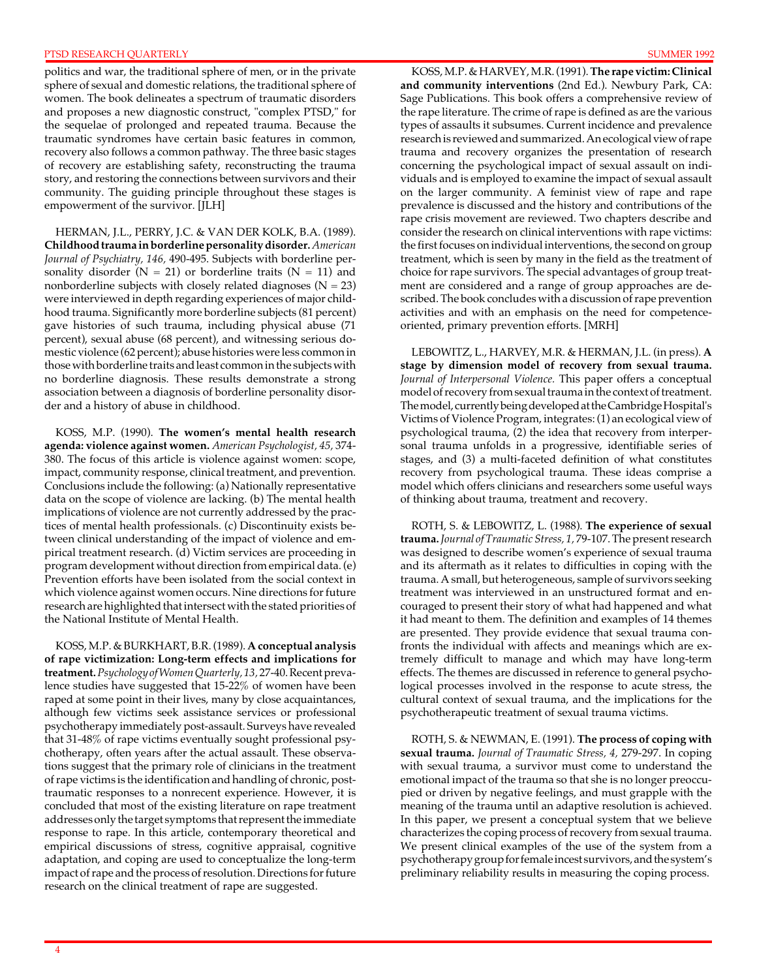politics and war, the traditional sphere of men, or in the private sphere of sexual and domestic relations, the traditional sphere of women. The book delineates a spectrum of traumatic disorders and proposes a new diagnostic construct, "complex PTSD," for the sequelae of prolonged and repeated trauma. Because the traumatic syndromes have certain basic features in common, recovery also follows a common pathway. The three basic stages of recovery are establishing safety, reconstructing the trauma story, and restoring the connections between survivors and their community. The guiding principle throughout these stages is empowerment of the survivor. [JLH]

HERMAN, J.L., PERRY, J.C. & VAN DER KOLK, B.A. (1989). **Childhood trauma in borderline personality disorder.** *American Journal of Psychiatry, 146,* 490-495. Subjects with borderline personality disorder ( $N = 21$ ) or borderline traits ( $N = 11$ ) and nonborderline subjects with closely related diagnoses ( $N = 23$ ) were interviewed in depth regarding experiences of major childhood trauma. Significantly more borderline subjects (81 percent) gave histories of such trauma, including physical abuse (71 percent), sexual abuse (68 percent), and witnessing serious domestic violence (62 percent); abuse histories were less common in those with borderline traits and least common in the subjects with no borderline diagnosis. These results demonstrate a strong association between a diagnosis of borderline personality disorder and a history of abuse in childhood.

KOSS, M.P. (1990). **The women's mental health research agenda: violence against women.** *American Psychologist, 45,* 374 380. The focus of this article is violence against women: scope, impact, community response, clinical treatment, and prevention. Conclusions include the following: (a) Nationally representative data on the scope of violence are lacking. (b) The mental health implications of violence are not currently addressed by the practices of mental health professionals. (c) Discontinuity exists between clinical understanding of the impact of violence and empirical treatment research. (d) Victim services are proceeding in program development without direction from empirical data. (e) Prevention efforts have been isolated from the social context in which violence against women occurs. Nine directions for future research are highlighted that intersect with the stated priorities of the National Institute of Mental Health.

KOSS, M.P. & BURKHART, B.R. (1989). **A conceptual analysis of rape victimization: Long-term effects and implications for treatment.** *Psychology of Women Quarterly, 13,* 27-40. Recent prevalence studies have suggested that 15-22% of women have been raped at some point in their lives, many by close acquaintances, although few victims seek assistance services or professional psychotherapy immediately post-assault. Surveys have revealed that 31-48% of rape victims eventually sought professional psychotherapy, often years after the actual assault. These observations suggest that the primary role of clinicians in the treatment of rape victims is the identification and handling of chronic, posttraumatic responses to a nonrecent experience. However, it is concluded that most of the existing literature on rape treatment addresses only the target symptoms that represent the immediate response to rape. In this article, contemporary theoretical and empirical discussions of stress, cognitive appraisal, cognitive adaptation, and coping are used to conceptualize the long-term impact of rape and the process of resolution. Directions for future research on the clinical treatment of rape are suggested.

KOSS, M.P. & HARVEY, M.R. (1991). **The rape victim: Clinical and community interventions** (2nd Ed.). Newbury Park, CA: Sage Publications. This book offers a comprehensive review of the rape literature. The crime of rape is defined as are the various types of assaults it subsumes. Current incidence and prevalence research is reviewed and summarized. An ecological view of rape trauma and recovery organizes the presentation of research concerning the psychological impact of sexual assault on individuals and is employed to examine the impact of sexual assault on the larger community. A feminist view of rape and rape prevalence is discussed and the history and contributions of the rape crisis movement are reviewed. Two chapters describe and consider the research on clinical interventions with rape victims: the first focuses on individual interventions, the second on group treatment, which is seen by many in the field as the treatment of choice for rape survivors. The special advantages of group treatment are considered and a range of group approaches are described. The book concludes with a discussion of rape prevention activities and with an emphasis on the need for competenceoriented, primary prevention efforts. [MRH]

LEBOWITZ, L., HARVEY, M.R. & HERMAN, J.L. (in press). **A stage by dimension model of recovery from sexual trauma.**  *Journal of Interpersonal Violence.* This paper offers a conceptual model of recovery from sexual trauma in the context of treatment. The model, currently being developed at the Cambridge Hospital's Victims of Violence Program, integrates: (1) an ecological view of psychological trauma, (2) the idea that recovery from interpersonal trauma unfolds in a progressive, identifiable series of stages, and (3) a multi-faceted definition of what constitutes recovery from psychological trauma. These ideas comprise a model which offers clinicians and researchers some useful ways of thinking about trauma, treatment and recovery.

ROTH, S. & LEBOWITZ, L. (1988). **The experience of sexual trauma.** *Journal of Traumatic Stress, 1,* 79-107. The present research was designed to describe women's experience of sexual trauma and its aftermath as it relates to difficulties in coping with the trauma. A small, but heterogeneous, sample of survivors seeking treatment was interviewed in an unstructured format and encouraged to present their story of what had happened and what it had meant to them. The definition and examples of 14 themes are presented. They provide evidence that sexual trauma confronts the individual with affects and meanings which are extremely difficult to manage and which may have long-term effects. The themes are discussed in reference to general psychological processes involved in the response to acute stress, the cultural context of sexual trauma, and the implications for the psychotherapeutic treatment of sexual trauma victims.

ROTH, S. & NEWMAN, E. (1991). **The process of coping with sexual trauma.** *Journal of Traumatic Stress, 4,* 279-297. In coping with sexual trauma, a survivor must come to understand the emotional impact of the trauma so that she is no longer preoccupied or driven by negative feelings, and must grapple with the meaning of the trauma until an adaptive resolution is achieved. In this paper, we present a conceptual system that we believe characterizes the coping process of recovery from sexual trauma. We present clinical examples of the use of the system from a psychotherapy group for female incest survivors, and the system's preliminary reliability results in measuring the coping process.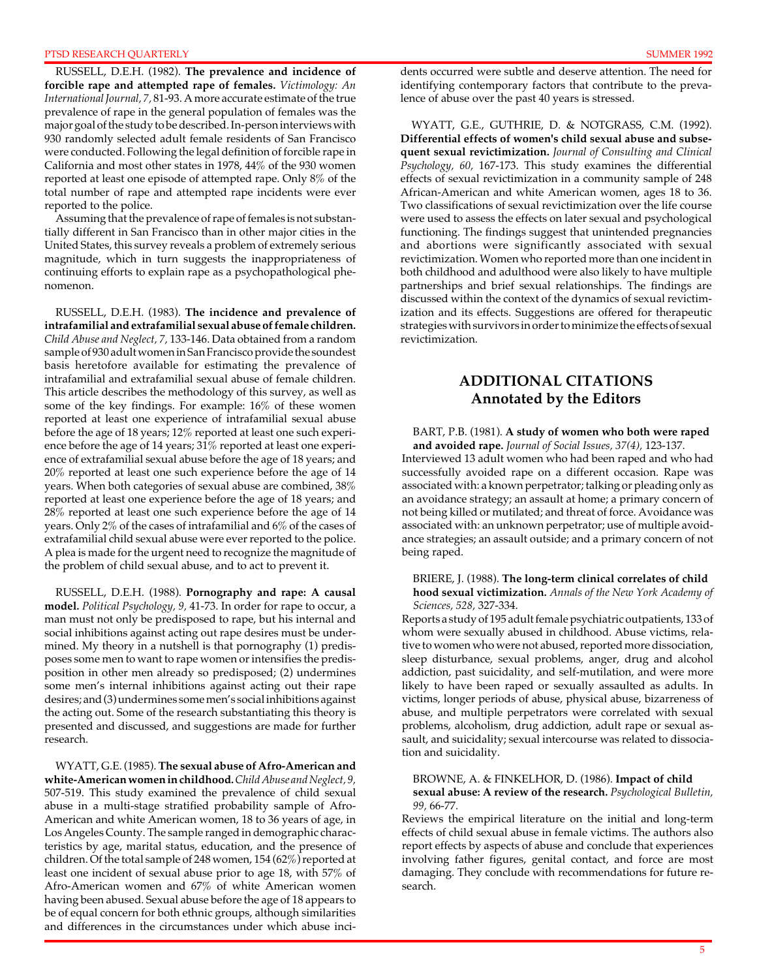#### PTSD RESEARCH QUARTERLY AND SUMMER 1992

RUSSELL, D.E.H. (1982). **The prevalence and incidence of forcible rape and attempted rape of females.** *Victimology: An International Journal, 7,* 81-93. A more accurate estimate of the true prevalence of rape in the general population of females was the major goal of the study to be described. In-person interviews with 930 randomly selected adult female residents of San Francisco were conducted. Following the legal definition of forcible rape in California and most other states in 1978, 44% of the 930 women reported at least one episode of attempted rape. Only 8% of the total number of rape and attempted rape incidents were ever reported to the police.

Assuming that the prevalence of rape of females is not substantially different in San Francisco than in other major cities in the United States, this survey reveals a problem of extremely serious magnitude, which in turn suggests the inappropriateness of continuing efforts to explain rape as a psychopathological phenomenon.

RUSSELL, D.E.H. (1983). **The incidence and prevalence of intrafamilial and extrafamilial sexual abuse of female children.**  *Child Abuse and Neglect, 7,* 133-146. Data obtained from a random sample of 930 adult women in San Francisco provide the soundest basis heretofore available for estimating the prevalence of intrafamilial and extrafamilial sexual abuse of female children. This article describes the methodology of this survey, as well as some of the key findings. For example: 16% of these women reported at least one experience of intrafamilial sexual abuse before the age of 18 years; 12% reported at least one such experience before the age of 14 years; 31% reported at least one experience of extrafamilial sexual abuse before the age of 18 years; and 20% reported at least one such experience before the age of 14 years. When both categories of sexual abuse are combined, 38% reported at least one experience before the age of 18 years; and 28% reported at least one such experience before the age of 14 years. Only 2% of the cases of intrafamilial and 6% of the cases of extrafamilial child sexual abuse were ever reported to the police. A plea is made for the urgent need to recognize the magnitude of the problem of child sexual abuse, and to act to prevent it.

RUSSELL, D.E.H. (1988). **Pornography and rape: A causal model.** *Political Psychology, 9,* 41-73. In order for rape to occur, a man must not only be predisposed to rape, but his internal and social inhibitions against acting out rape desires must be undermined. My theory in a nutshell is that pornography (1) predisposes some men to want to rape women or intensifies the predisposition in other men already so predisposed; (2) undermines some men's internal inhibitions against acting out their rape desires; and (3) undermines some men's social inhibitions against the acting out. Some of the research substantiating this theory is presented and discussed, and suggestions are made for further research.

WYATT, G.E. (1985). **The sexual abuse of Afro-American and white-American women in childhood.** *Child Abuse and Neglect, 9,*  507-519. This study examined the prevalence of child sexual abuse in a multi-stage stratified probability sample of Afro-American and white American women, 18 to 36 years of age, in Los Angeles County. The sample ranged in demographic characteristics by age, marital status, education, and the presence of children. Of the total sample of 248 women, 154 (62%) reported at least one incident of sexual abuse prior to age 18, with 57% of Afro-American women and 67% of white American women having been abused. Sexual abuse before the age of 18 appears to be of equal concern for both ethnic groups, although similarities and differences in the circumstances under which abuse incidents occurred were subtle and deserve attention. The need for identifying contemporary factors that contribute to the prevalence of abuse over the past 40 years is stressed.

WYATT, G.E., GUTHRIE, D. & NOTGRASS, C.M. (1992). **Differential effects of women's child sexual abuse and subsequent sexual revictimization.** *Journal of Consulting and Clinical Psychology, 60,* 167-173. This study examines the differential effects of sexual revictimization in a community sample of 248 African-American and white American women, ages 18 to 36. Two classifications of sexual revictimization over the life course were used to assess the effects on later sexual and psychological functioning. The findings suggest that unintended pregnancies and abortions were significantly associated with sexual revictimization. Women who reported more than one incident in both childhood and adulthood were also likely to have multiple partnerships and brief sexual relationships. The findings are discussed within the context of the dynamics of sexual revictimization and its effects. Suggestions are offered for therapeutic strategies with survivors in order to minimize the effects of sexual revictimization.

# **ADDITIONAL CITATIONS Annotated by the Editors**

#### BART, P.B. (1981). **A study of women who both were raped**

**and avoided rape.** *Journal of Social Issues, 37(4),* 123-137. Interviewed 13 adult women who had been raped and who had successfully avoided rape on a different occasion. Rape was associated with: a known perpetrator; talking or pleading only as an avoidance strategy; an assault at home; a primary concern of not being killed or mutilated; and threat of force. Avoidance was associated with: an unknown perpetrator; use of multiple avoidance strategies; an assault outside; and a primary concern of not being raped.

#### BRIERE, J. (1988). **The long-term clinical correlates of child hood sexual victimization.** *Annals of the New York Academy of Sciences, 528,* 327-334.

Reports a study of 195 adult female psychiatric outpatients, 133 of whom were sexually abused in childhood. Abuse victims, relative to women who were not abused, reported more dissociation, sleep disturbance, sexual problems, anger, drug and alcohol addiction, past suicidality, and self-mutilation, and were more likely to have been raped or sexually assaulted as adults. In victims, longer periods of abuse, physical abuse, bizarreness of abuse, and multiple perpetrators were correlated with sexual problems, alcoholism, drug addiction, adult rape or sexual assault, and suicidality; sexual intercourse was related to dissociation and suicidality.

#### BROWNE, A. & FINKELHOR, D. (1986). **Impact of child**

#### **sexual abuse: A review of the research.** *Psychological Bulletin, 99,* 66-77.

Reviews the empirical literature on the initial and long-term effects of child sexual abuse in female victims. The authors also report effects by aspects of abuse and conclude that experiences involving father figures, genital contact, and force are most damaging. They conclude with recommendations for future research.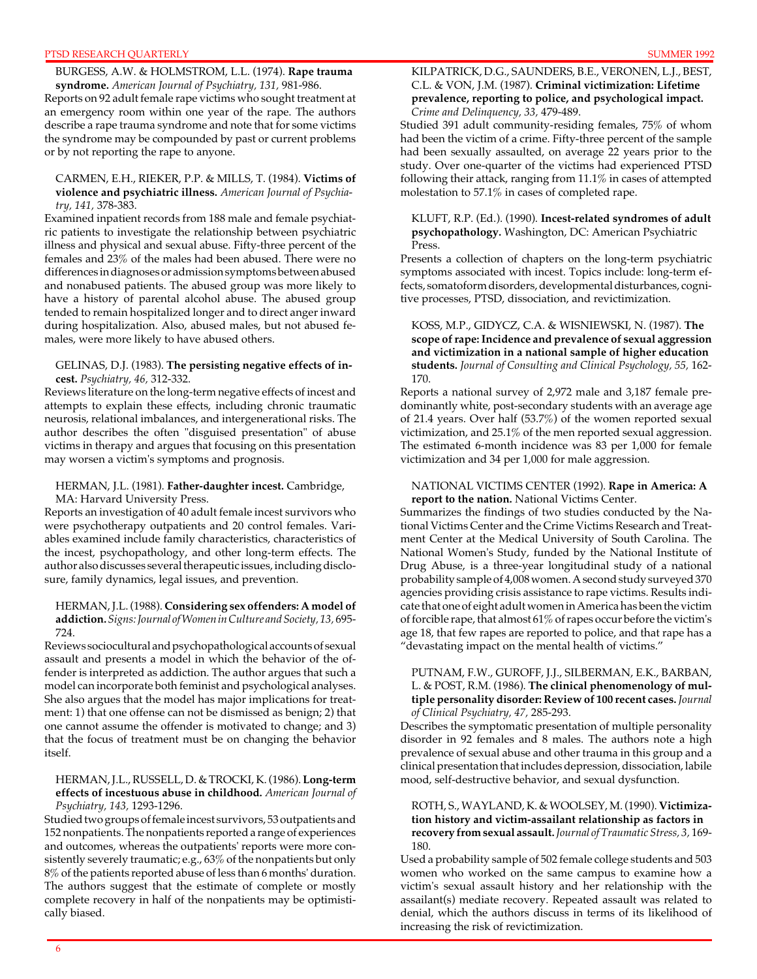#### PTSD RESEARCH QUARTERLY

BURGESS, A.W. & HOLMSTROM, L.L. (1974). **Rape trauma syndrome.** *American Journal of Psychiatry, 131,* 981-986.

Reports on 92 adult female rape victims who sought treatment at an emergency room within one year of the rape. The authors describe a rape trauma syndrome and note that for some victims the syndrome may be compounded by past or current problems or by not reporting the rape to anyone.

#### CARMEN, E.H., RIEKER, P.P. & MILLS, T. (1984). **Victims of violence and psychiatric illness.** *American Journal of Psychiatry, 141,* 378-383.

Examined inpatient records from 188 male and female psychiatric patients to investigate the relationship between psychiatric illness and physical and sexual abuse. Fifty-three percent of the females and 23% of the males had been abused. There were no differences in diagnoses or admission symptoms between abused and nonabused patients. The abused group was more likely to have a history of parental alcohol abuse. The abused group tended to remain hospitalized longer and to direct anger inward during hospitalization. Also, abused males, but not abused females, were more likely to have abused others.

#### GELINAS, D.J. (1983). **The persisting negative effects of incest.** *Psychiatry, 46,* 312-332.

Reviews literature on the long-term negative effects of incest and attempts to explain these effects, including chronic traumatic neurosis, relational imbalances, and intergenerational risks. The author describes the often "disguised presentation" of abuse victims in therapy and argues that focusing on this presentation may worsen a victim's symptoms and prognosis.

#### HERMAN, J.L. (1981). **Father-daughter incest.** Cambridge, MA: Harvard University Press.

Reports an investigation of 40 adult female incest survivors who were psychotherapy outpatients and 20 control females. Variables examined include family characteristics, characteristics of the incest, psychopathology, and other long-term effects. The author also discusses several therapeutic issues, including disclosure, family dynamics, legal issues, and prevention.

#### HERMAN, J.L. (1988). **Considering sex offenders: A model of addiction.** *Signs: Journal of Women in Culture and Society, 13,* 695 724.

Reviews sociocultural and psychopathological accounts of sexual assault and presents a model in which the behavior of the offender is interpreted as addiction. The author argues that such a model can incorporate both feminist and psychological analyses. She also argues that the model has major implications for treatment: 1) that one offense can not be dismissed as benign; 2) that one cannot assume the offender is motivated to change; and 3) that the focus of treatment must be on changing the behavior itself.

#### HERMAN, J.L., RUSSELL, D. & TROCKI, K. (1986). **Long-term effects of incestuous abuse in childhood.** *American Journal of Psychiatry, 143,* 1293-1296.

Studied two groups of female incest survivors, 53 outpatients and 152 nonpatients. The nonpatients reported a range of experiences and outcomes, whereas the outpatients' reports were more consistently severely traumatic; e.g., 63% of the nonpatients but only 8% of the patients reported abuse of less than 6 months' duration. The authors suggest that the estimate of complete or mostly complete recovery in half of the nonpatients may be optimistically biased.

#### KILPATRICK, D.G., SAUNDERS, B.E., VERONEN, L.J., BEST, C.L. & VON, J.M. (1987). **Criminal victimization: Lifetime prevalence, reporting to police, and psychological impact.**  *Crime and Delinquency, 33,* 479-489.

Studied 391 adult community-residing females, 75% of whom had been the victim of a crime. Fifty-three percent of the sample had been sexually assaulted, on average 22 years prior to the study. Over one-quarter of the victims had experienced PTSD following their attack, ranging from 11.1% in cases of attempted molestation to 57.1% in cases of completed rape.

#### KLUFT, R.P. (Ed.). (1990). **Incest-related syndromes of adult psychopathology.** Washington, DC: American Psychiatric Press.

Presents a collection of chapters on the long-term psychiatric symptoms associated with incest. Topics include: long-term effects, somatoform disorders, developmental disturbances, cognitive processes, PTSD, dissociation, and revictimization.

#### KOSS, M.P., GIDYCZ, C.A. & WISNIEWSKI, N. (1987). **The scope of rape: Incidence and prevalence of sexual aggression and victimization in a national sample of higher education students.** *Journal of Consulting and Clinical Psychology, 55,* 162 170.

Reports a national survey of 2,972 male and 3,187 female predominantly white, post-secondary students with an average age of 21.4 years. Over half (53.7%) of the women reported sexual victimization, and 25.1% of the men reported sexual aggression. The estimated 6-month incidence was 83 per 1,000 for female victimization and 34 per 1,000 for male aggression.

#### NATIONAL VICTIMS CENTER (1992). **Rape in America: A report to the nation.** National Victims Center.

Summarizes the findings of two studies conducted by the National Victims Center and the Crime Victims Research and Treatment Center at the Medical University of South Carolina. The National Women's Study, funded by the National Institute of Drug Abuse, is a three-year longitudinal study of a national probability sample of 4,008 women. A second study surveyed 370 agencies providing crisis assistance to rape victims. Results indicate that one of eight adult women in America has been the victim of forcible rape, that almost 61% of rapes occur before the victim's age 18, that few rapes are reported to police, and that rape has a "devastating impact on the mental health of victims."

#### PUTNAM, F.W., GUROFF, J.J., SILBERMAN, E.K., BARBAN, L. & POST, R.M. (1986). **The clinical phenomenology of multiple personality disorder: Review of 100 recent cases.** *Journal of Clinical Psychiatry, 47,* 285-293.

Describes the symptomatic presentation of multiple personality disorder in 92 females and 8 males. The authors note a high prevalence of sexual abuse and other trauma in this group and a clinical presentation that includes depression, dissociation, labile mood, self-destructive behavior, and sexual dysfunction.

#### ROTH, S., WAYLAND, K. & WOOLSEY, M. (1990). **Victimization history and victim-assailant relationship as factors in recovery from sexual assault.** *Journal of Traumatic Stress, 3,* 169 180.

Used a probability sample of 502 female college students and 503 women who worked on the same campus to examine how a victim's sexual assault history and her relationship with the assailant(s) mediate recovery. Repeated assault was related to denial, which the authors discuss in terms of its likelihood of increasing the risk of revictimization.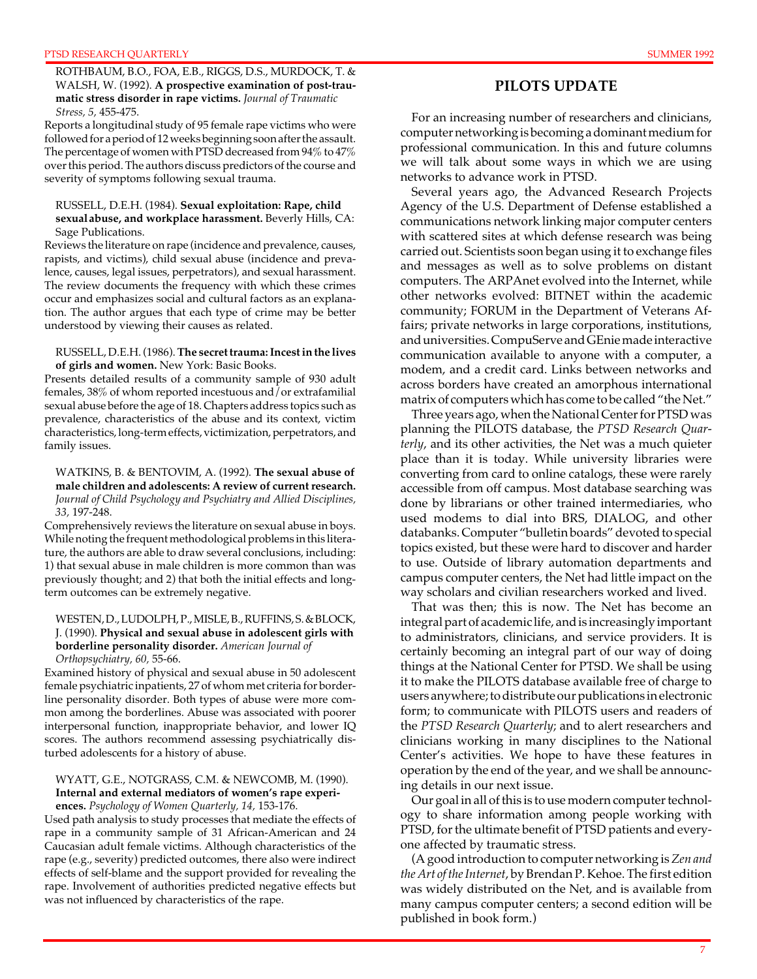ROTHBAUM, B.O., FOA, E.B., RIGGS, D.S., MURDOCK, T. & WALSH, W. (1992). **A prospective examination of post-traumatic stress disorder in rape victims.** *Journal of Traumatic Stress, 5,* 455-475.

Reports a longitudinal study of 95 female rape victims who were followed for a period of 12 weeks beginning soon after the assault. The percentage of women with PTSD decreased from 94% to 47% over this period. The authors discuss predictors of the course and severity of symptoms following sexual trauma.

#### RUSSELL, D.E.H. (1984). **Sexual exploitation: Rape, child sexualabuse, and workplace harassment.** Beverly Hills, CA: Sage Publications.

Reviews the literature on rape (incidence and prevalence, causes, rapists, and victims), child sexual abuse (incidence and prevalence, causes, legal issues, perpetrators), and sexual harassment. The review documents the frequency with which these crimes occur and emphasizes social and cultural factors as an explanation. The author argues that each type of crime may be better understood by viewing their causes as related.

#### RUSSELL, D.E.H. (1986). **The secret trauma: Incest in the lives of girls and women.** New York: Basic Books.

Presents detailed results of a community sample of 930 adult females, 38% of whom reported incestuous and/or extrafamilial sexual abuse before the age of 18. Chapters address topics such as prevalence, characteristics of the abuse and its context, victim characteristics, long-term effects, victimization, perpetrators, and family issues.

#### WATKINS, B. & BENTOVIM, A. (1992). **The sexual abuse of male children and adolescents: A review of current research.**  *Journal of Child Psychology and Psychiatry and Allied Disciplines, 33,* 197-248.

Comprehensively reviews the literature on sexual abuse in boys. While noting the frequent methodological problems in this literature, the authors are able to draw several conclusions, including: 1) that sexual abuse in male children is more common than was previously thought; and 2) that both the initial effects and longterm outcomes can be extremely negative.

#### WESTEN, D., LUDOLPH, P., MISLE, B., RUFFINS, S. & BLOCK, J. (1990). **Physical and sexual abuse in adolescent girls with borderline personality disorder.** *American Journal of Orthopsychiatry, 60,* 55-66.

Examined history of physical and sexual abuse in 50 adolescent female psychiatric inpatients, 27 of whom met criteria for borderline personality disorder. Both types of abuse were more common among the borderlines. Abuse was associated with poorer interpersonal function, inappropriate behavior, and lower IQ scores. The authors recommend assessing psychiatrically disturbed adolescents for a history of abuse.

## WYATT, G.E., NOTGRASS, C.M. & NEWCOMB, M. (1990). **Internal and external mediators of women's rape experi-**

**ences.** *Psychology of Women Quarterly, 14,* 153-176. Used path analysis to study processes that mediate the effects of rape in a community sample of 31 African-American and 24 Caucasian adult female victims. Although characteristics of the rape (e.g., severity) predicted outcomes, there also were indirect effects of self-blame and the support provided for revealing the rape. Involvement of authorities predicted negative effects but was not influenced by characteristics of the rape.

# **PILOTS UPDATE**

For an increasing number of researchers and clinicians, computer networking is becoming a dominant medium for professional communication. In this and future columns we will talk about some ways in which we are using networks to advance work in PTSD.

Several years ago, the Advanced Research Projects Agency of the U.S. Department of Defense established a communications network linking major computer centers with scattered sites at which defense research was being carried out. Scientists soon began using it to exchange files and messages as well as to solve problems on distant computers. The ARPAnet evolved into the Internet, while other networks evolved: BITNET within the academic community; FORUM in the Department of Veterans Affairs; private networks in large corporations, institutions, and universities. CompuServe and GEnie made interactive communication available to anyone with a computer, a modem, and a credit card. Links between networks and across borders have created an amorphous international matrix of computers which has come to be called "the Net."

Three years ago, when the National Center for PTSD was planning the PILOTS database, the *PTSD Research Quarterly*, and its other activities, the Net was a much quieter place than it is today. While university libraries were converting from card to online catalogs, these were rarely accessible from off campus. Most database searching was done by librarians or other trained intermediaries, who used modems to dial into BRS, DIALOG, and other databanks. Computer "bulletin boards" devoted to special topics existed, but these were hard to discover and harder to use. Outside of library automation departments and campus computer centers, the Net had little impact on the way scholars and civilian researchers worked and lived.

That was then; this is now. The Net has become an integral part of academic life, and is increasingly important to administrators, clinicians, and service providers. It is certainly becoming an integral part of our way of doing things at the National Center for PTSD. We shall be using it to make the PILOTS database available free of charge to users anywhere; to distribute our publications in electronic form; to communicate with PILOTS users and readers of the *PTSD Research Quarterly*; and to alert researchers and clinicians working in many disciplines to the National Center's activities. We hope to have these features in operation by the end of the year, and we shall be announcing details in our next issue.

Our goal in all of this is to use modern computer technology to share information among people working with PTSD, for the ultimate benefit of PTSD patients and everyone affected by traumatic stress.

(A good introduction to computer networking is *Zen and the Art of the Internet*, by Brendan P. Kehoe. The first edition was widely distributed on the Net, and is available from many campus computer centers; a second edition will be published in book form.)